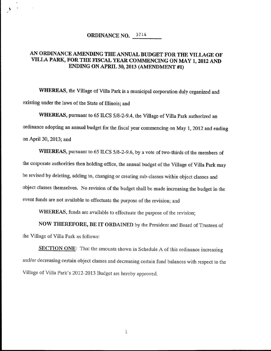## ORDINANCE NO. 3714

÷,

## AN ORDINANCE AMENDING THE ANNUAL BUDGET FOR THE VILLAGE OF VILLA PARK, FOR THE FISCAL YEAR COMMENCING ON MAY 1, 2012 AND ENDING ON APRIL 30, 2013 (AMENDMENT #1)

WHEREAS, the Village of Villa Park is a municipal corporation duly organized and existing under the laws of the State of Illinois; and

WHEREAS, pursuant to 65 ILCS 5/8-2-9.4, the Village of Villa Park authorized an ordinance adopting an annual budget for the fiscal year commencing on May 1, 2012 and ending on April 30, 2013; and

WHEREAS, pursuant to 65 ILCS 5/8-2-9.6, by a vote of two-thirds of the members of the corporate authorities then holding office, the annual budget of the Village of Villa Park may be revised by deleting, adding to, changing or creating sub-classes within object classes and object classes themselves. No revision of the budget shall be made increasing the budget in the event funds are not available to effectuate the purpose of the revision; and

WHEREAS, funds are available to effectuate the purpose of the revision;

NOW THEREFORE, BE IT ORDAINED by the President and Board of Trustees of the Village of Villa Park as follows

SECTION ONE: That the amounts shown in Schedule A of this ordinance increasing and/or decreasing certain object classes and decreasing certain fund balances with respect to the and/or decreasing certain object classes and decreasing certain f<br>Village of Villa Park's 2012-2013 Budget are hereby approved.

1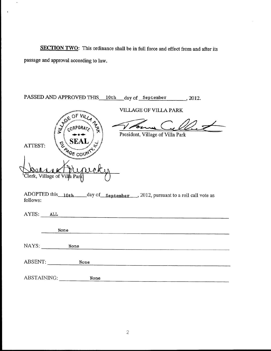passage and approval according to law SECTION TWO: This ordinance shall be in full force and effect from and after its

 $\hat{\mathbf{z}}$ 

 $\ddot{\phantom{a}}$ 

| PASSED AND APPROVED THIS 10th day of September , 2012.                                                                                                                                    |
|-------------------------------------------------------------------------------------------------------------------------------------------------------------------------------------------|
| VILLAGE OF VILLA PARK<br><b>JOE OF</b><br>$\sqrt{10}$ $M/2$<br>CORPORA<br>President, Village of Villa Park<br><b>SEA</b><br>ATTEST:<br>4 <sub>GE CO</sub><br>Clerk, Village of Villa Park |
| ADOPTED this 10th day of september , 2012, pursuant to a roll call vote as<br>follows:                                                                                                    |
| AYES: ALL                                                                                                                                                                                 |
| None                                                                                                                                                                                      |
| NAYS:<br>None                                                                                                                                                                             |
| ABSENT:<br>None                                                                                                                                                                           |
| <b>ABSTAINING:</b><br>None                                                                                                                                                                |